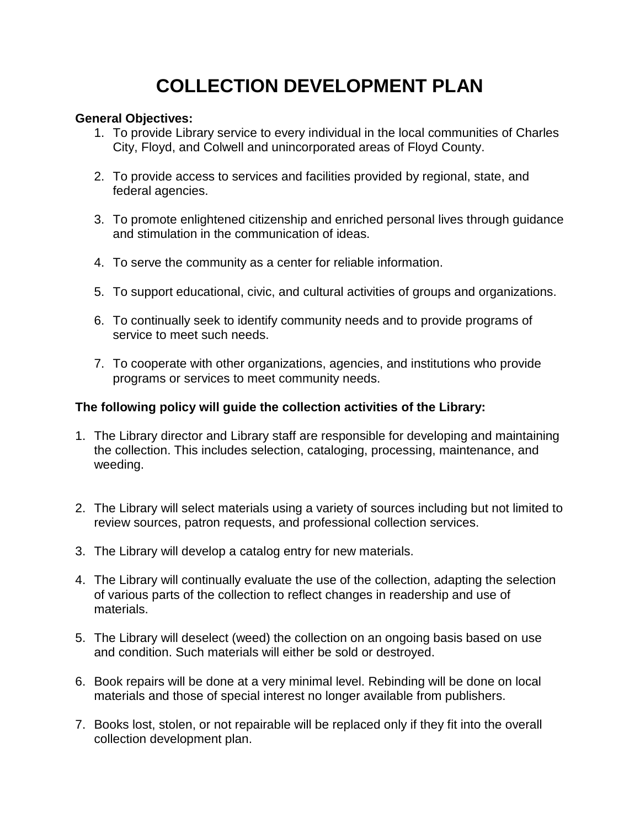# **COLLECTION DEVELOPMENT PLAN**

### **General Objectives:**

- 1. To provide Library service to every individual in the local communities of Charles City, Floyd, and Colwell and unincorporated areas of Floyd County.
- 2. To provide access to services and facilities provided by regional, state, and federal agencies.
- 3. To promote enlightened citizenship and enriched personal lives through guidance and stimulation in the communication of ideas.
- 4. To serve the community as a center for reliable information.
- 5. To support educational, civic, and cultural activities of groups and organizations.
- 6. To continually seek to identify community needs and to provide programs of service to meet such needs.
- 7. To cooperate with other organizations, agencies, and institutions who provide programs or services to meet community needs.

## **The following policy will guide the collection activities of the Library:**

- 1. The Library director and Library staff are responsible for developing and maintaining the collection. This includes selection, cataloging, processing, maintenance, and weeding.
- 2. The Library will select materials using a variety of sources including but not limited to review sources, patron requests, and professional collection services.
- 3. The Library will develop a catalog entry for new materials.
- 4. The Library will continually evaluate the use of the collection, adapting the selection of various parts of the collection to reflect changes in readership and use of materials.
- 5. The Library will deselect (weed) the collection on an ongoing basis based on use and condition. Such materials will either be sold or destroyed.
- 6. Book repairs will be done at a very minimal level. Rebinding will be done on local materials and those of special interest no longer available from publishers.
- 7. Books lost, stolen, or not repairable will be replaced only if they fit into the overall collection development plan.